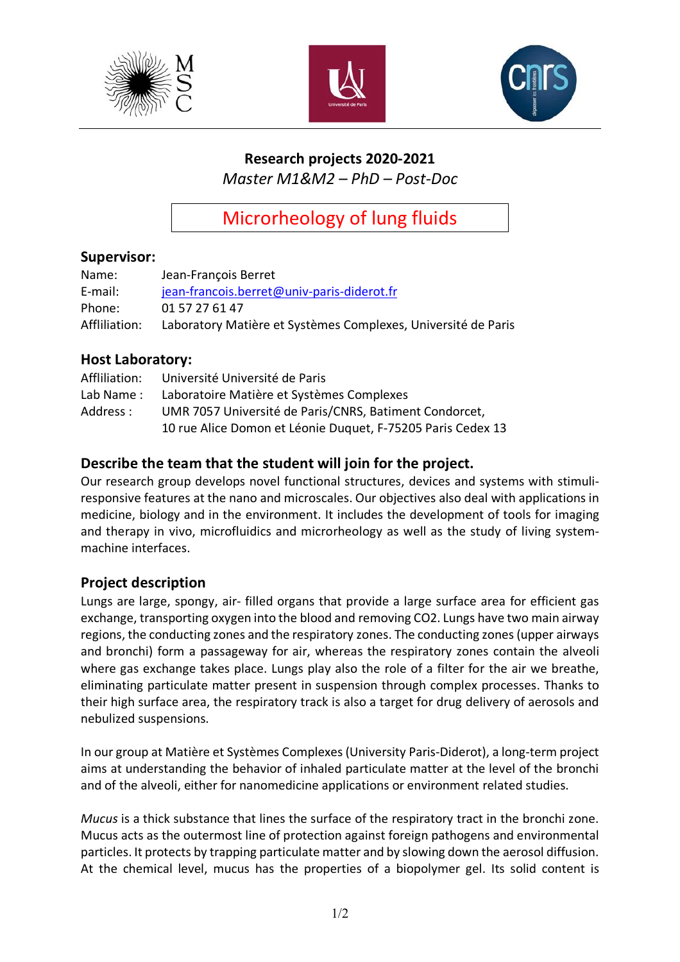





# **Research projects 2020-2021**

*Master M1&M2 – PhD – Post-Doc*

Microrheology of lung fluids

### **Supervisor:**

| Name:         | Jean-François Berret                                          |
|---------------|---------------------------------------------------------------|
| E-mail:       | jean-francois.berret@univ-paris-diderot.fr                    |
| Phone:        | 01 57 27 61 47                                                |
| Affliliation: | Laboratory Matière et Systèmes Complexes, Université de Paris |

#### **Host Laboratory:**

| Affliliation: | Université Université de Paris                              |
|---------------|-------------------------------------------------------------|
| Lab Name:     | Laboratoire Matière et Systèmes Complexes                   |
| Address :     | UMR 7057 Université de Paris/CNRS, Batiment Condorcet,      |
|               | 10 rue Alice Domon et Léonie Duquet, F-75205 Paris Cedex 13 |

## **Describe the team that the student will join for the project.**

Our research group develops novel functional structures, devices and systems with stimuliresponsive features at the nano and microscales. Our objectives also deal with applications in medicine, biology and in the environment. It includes the development of tools for imaging and therapy in vivo, microfluidics and microrheology as well as the study of living systemmachine interfaces.

#### **Project description**

Lungs are large, spongy, air- filled organs that provide a large surface area for efficient gas exchange, transporting oxygen into the blood and removing CO2. Lungs have two main airway regions, the conducting zones and the respiratory zones. The conducting zones (upper airways and bronchi) form a passageway for air, whereas the respiratory zones contain the alveoli where gas exchange takes place. Lungs play also the role of a filter for the air we breathe, eliminating particulate matter present in suspension through complex processes. Thanks to their high surface area, the respiratory track is also a target for drug delivery of aerosols and nebulized suspensions.

In our group at Matière et Systèmes Complexes (University Paris-Diderot), a long-term project aims at understanding the behavior of inhaled particulate matter at the level of the bronchi and of the alveoli, either for nanomedicine applications or environment related studies.

*Mucus* is a thick substance that lines the surface of the respiratory tract in the bronchi zone. Mucus acts as the outermost line of protection against foreign pathogens and environmental particles. It protects by trapping particulate matter and by slowing down the aerosol diffusion. At the chemical level, mucus has the properties of a biopolymer gel. Its solid content is